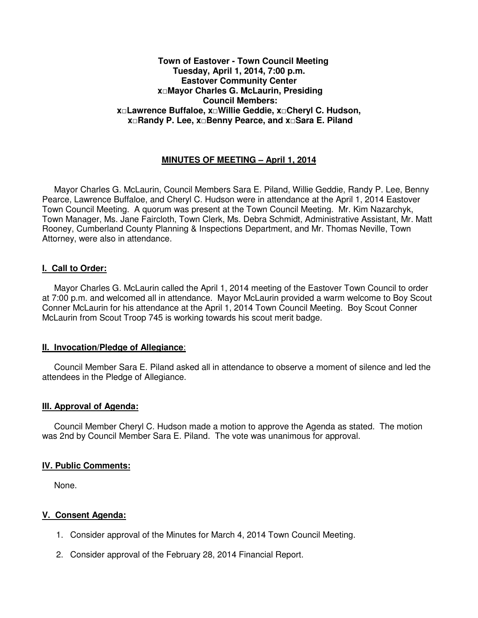#### **Town of Eastover - Town Council Meeting Tuesday, April 1, 2014, 7:00 p.m. Eastover Community Center x□Mayor Charles G. McLaurin, Presiding Council Members: x□Lawrence Buffaloe, x□Willie Geddie, x□Cheryl C. Hudson, x□Randy P. Lee, x□Benny Pearce, and x□Sara E. Piland**

# **MINUTES OF MEETING – April 1, 2014**

 Mayor Charles G. McLaurin, Council Members Sara E. Piland, Willie Geddie, Randy P. Lee, Benny Pearce, Lawrence Buffaloe, and Cheryl C. Hudson were in attendance at the April 1, 2014 Eastover Town Council Meeting. A quorum was present at the Town Council Meeting. Mr. Kim Nazarchyk, Town Manager, Ms. Jane Faircloth, Town Clerk, Ms. Debra Schmidt, Administrative Assistant, Mr. Matt Rooney, Cumberland County Planning & Inspections Department, and Mr. Thomas Neville, Town Attorney, were also in attendance.

### **I. Call to Order:**

 Mayor Charles G. McLaurin called the April 1, 2014 meeting of the Eastover Town Council to order at 7:00 p.m. and welcomed all in attendance. Mayor McLaurin provided a warm welcome to Boy Scout Conner McLaurin for his attendance at the April 1, 2014 Town Council Meeting. Boy Scout Conner McLaurin from Scout Troop 745 is working towards his scout merit badge.

#### **II. Invocation/Pledge of Allegiance**:

 Council Member Sara E. Piland asked all in attendance to observe a moment of silence and led the attendees in the Pledge of Allegiance.

#### **III. Approval of Agenda:**

 Council Member Cheryl C. Hudson made a motion to approve the Agenda as stated. The motion was 2nd by Council Member Sara E. Piland. The vote was unanimous for approval.

#### **IV. Public Comments:**

None.

#### **V. Consent Agenda:**

- 1. Consider approval of the Minutes for March 4, 2014 Town Council Meeting.
- 2. Consider approval of the February 28, 2014 Financial Report.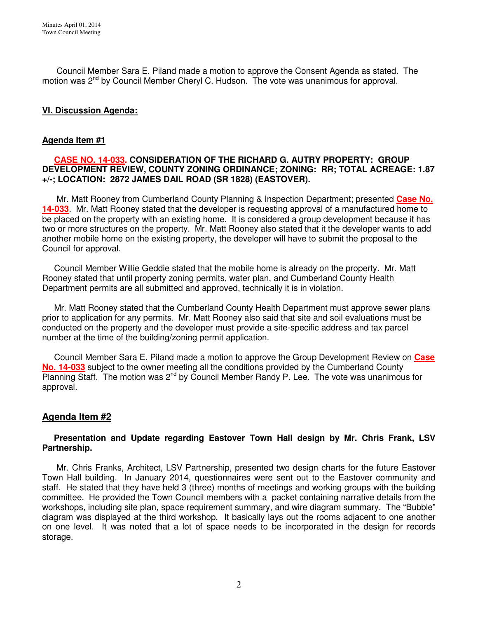Council Member Sara E. Piland made a motion to approve the Consent Agenda as stated. The motion was  $2^{nd}$  by Council Member Cheryl C. Hudson. The vote was unanimous for approval.

# **VI. Discussion Agenda:**

### **Agenda Item #1**

### **CASE NO. 14-033. CONSIDERATION OF THE RICHARD G. AUTRY PROPERTY: GROUP DEVELOPMENT REVIEW, COUNTY ZONING ORDINANCE; ZONING: RR; TOTAL ACREAGE: 1.87 +/-; LOCATION: 2872 JAMES DAIL ROAD (SR 1828) (EASTOVER).**

 Mr. Matt Rooney from Cumberland County Planning & Inspection Department; presented **Case No. 14-033**. Mr. Matt Rooney stated that the developer is requesting approval of a manufactured home to be placed on the property with an existing home. It is considered a group development because it has two or more structures on the property. Mr. Matt Rooney also stated that it the developer wants to add another mobile home on the existing property, the developer will have to submit the proposal to the Council for approval.

 Council Member Willie Geddie stated that the mobile home is already on the property. Mr. Matt Rooney stated that until property zoning permits, water plan, and Cumberland County Health Department permits are all submitted and approved, technically it is in violation.

 Mr. Matt Rooney stated that the Cumberland County Health Department must approve sewer plans prior to application for any permits. Mr. Matt Rooney also said that site and soil evaluations must be conducted on the property and the developer must provide a site-specific address and tax parcel number at the time of the building/zoning permit application.

 Council Member Sara E. Piland made a motion to approve the Group Development Review on **Case No. 14-033** subject to the owner meeting all the conditions provided by the Cumberland County  $P$ lanning Staff. The motion was  $2^{nd}$  by Council Member Randy P. Lee. The vote was unanimous for approval.

# **Agenda Item #2**

### **Presentation and Update regarding Eastover Town Hall design by Mr. Chris Frank, LSV Partnership.**

 Mr. Chris Franks, Architect, LSV Partnership, presented two design charts for the future Eastover Town Hall building. In January 2014, questionnaires were sent out to the Eastover community and staff. He stated that they have held 3 (three) months of meetings and working groups with the building committee. He provided the Town Council members with a packet containing narrative details from the workshops, including site plan, space requirement summary, and wire diagram summary. The "Bubble" diagram was displayed at the third workshop. It basically lays out the rooms adjacent to one another on one level. It was noted that a lot of space needs to be incorporated in the design for records storage.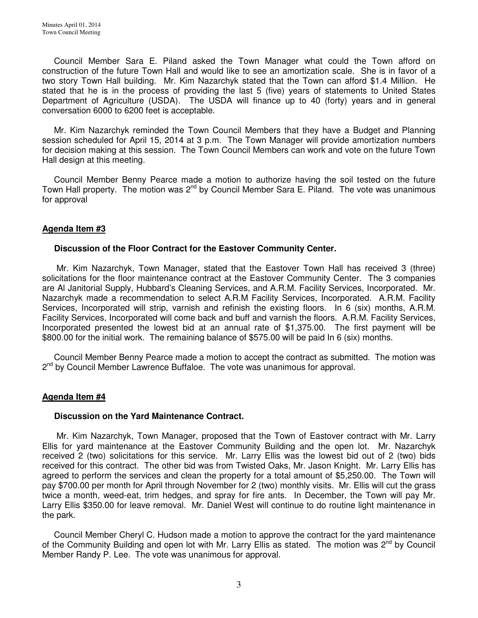Council Member Sara E. Piland asked the Town Manager what could the Town afford on construction of the future Town Hall and would like to see an amortization scale. She is in favor of a two story Town Hall building. Mr. Kim Nazarchyk stated that the Town can afford \$1.4 Million. He stated that he is in the process of providing the last 5 (five) years of statements to United States Department of Agriculture (USDA). The USDA will finance up to 40 (forty) years and in general conversation 6000 to 6200 feet is acceptable.

 Mr. Kim Nazarchyk reminded the Town Council Members that they have a Budget and Planning session scheduled for April 15, 2014 at 3 p.m. The Town Manager will provide amortization numbers for decision making at this session. The Town Council Members can work and vote on the future Town Hall design at this meeting.

 Council Member Benny Pearce made a motion to authorize having the soil tested on the future Town Hall property. The motion was  $2^{nd}$  by Council Member Sara E. Piland. The vote was unanimous for approval

## **Agenda Item #3**

### **Discussion of the Floor Contract for the Eastover Community Center.**

 Mr. Kim Nazarchyk, Town Manager, stated that the Eastover Town Hall has received 3 (three) solicitations for the floor maintenance contract at the Eastover Community Center. The 3 companies are Al Janitorial Supply, Hubbard's Cleaning Services, and A.R.M. Facility Services, Incorporated. Mr. Nazarchyk made a recommendation to select A.R.M Facility Services, Incorporated. A.R.M. Facility Services, Incorporated will strip, varnish and refinish the existing floors. In 6 (six) months, A.R.M. Facility Services, Incorporated will come back and buff and varnish the floors. A.R.M. Facility Services, Incorporated presented the lowest bid at an annual rate of \$1,375.00. The first payment will be \$800.00 for the initial work. The remaining balance of \$575.00 will be paid In 6 (six) months.

 Council Member Benny Pearce made a motion to accept the contract as submitted. The motion was 2<sup>nd</sup> by Council Member Lawrence Buffaloe. The vote was unanimous for approval.

## **Agenda Item #4**

#### **Discussion on the Yard Maintenance Contract.**

 Mr. Kim Nazarchyk, Town Manager, proposed that the Town of Eastover contract with Mr. Larry Ellis for yard maintenance at the Eastover Community Building and the open lot. Mr. Nazarchyk received 2 (two) solicitations for this service. Mr. Larry Ellis was the lowest bid out of 2 (two) bids received for this contract. The other bid was from Twisted Oaks, Mr. Jason Knight. Mr. Larry Ellis has agreed to perform the services and clean the property for a total amount of \$5,250.00. The Town will pay \$700.00 per month for April through November for 2 (two) monthly visits. Mr. Ellis will cut the grass twice a month, weed-eat, trim hedges, and spray for fire ants. In December, the Town will pay Mr. Larry Ellis \$350.00 for leave removal. Mr. Daniel West will continue to do routine light maintenance in the park.

 Council Member Cheryl C. Hudson made a motion to approve the contract for the yard maintenance of the Community Building and open lot with Mr. Larry Ellis as stated. The motion was 2<sup>nd</sup> by Council Member Randy P. Lee. The vote was unanimous for approval.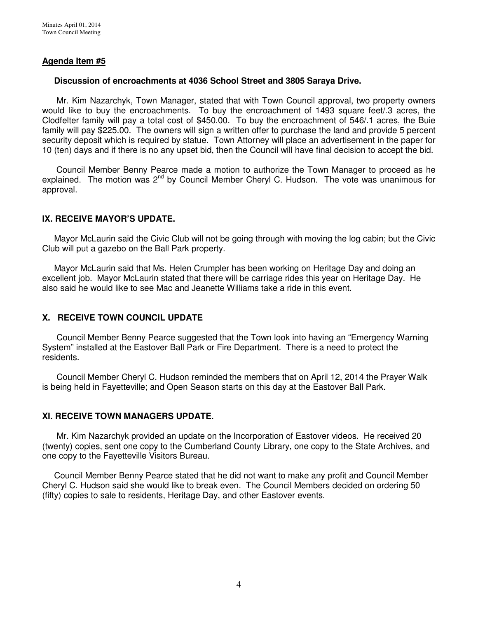# **Agenda Item #5**

### **Discussion of encroachments at 4036 School Street and 3805 Saraya Drive.**

 Mr. Kim Nazarchyk, Town Manager, stated that with Town Council approval, two property owners would like to buy the encroachments. To buy the encroachment of 1493 square feet/.3 acres, the Clodfelter family will pay a total cost of \$450.00. To buy the encroachment of 546/.1 acres, the Buie family will pay \$225.00. The owners will sign a written offer to purchase the land and provide 5 percent security deposit which is required by statue. Town Attorney will place an advertisement in the paper for 10 (ten) days and if there is no any upset bid, then the Council will have final decision to accept the bid.

 Council Member Benny Pearce made a motion to authorize the Town Manager to proceed as he explained. The motion was  $2^{nd}$  by Council Member Cheryl C. Hudson. The vote was unanimous for approval.

## **IX. RECEIVE MAYOR'S UPDATE.**

 Mayor McLaurin said the Civic Club will not be going through with moving the log cabin; but the Civic Club will put a gazebo on the Ball Park property.

 Mayor McLaurin said that Ms. Helen Crumpler has been working on Heritage Day and doing an excellent job. Mayor McLaurin stated that there will be carriage rides this year on Heritage Day. He also said he would like to see Mac and Jeanette Williams take a ride in this event.

# **X. RECEIVE TOWN COUNCIL UPDATE**

 Council Member Benny Pearce suggested that the Town look into having an "Emergency Warning System" installed at the Eastover Ball Park or Fire Department. There is a need to protect the residents.

 Council Member Cheryl C. Hudson reminded the members that on April 12, 2014 the Prayer Walk is being held in Fayetteville; and Open Season starts on this day at the Eastover Ball Park.

## **XI. RECEIVE TOWN MANAGERS UPDATE.**

 Mr. Kim Nazarchyk provided an update on the Incorporation of Eastover videos. He received 20 (twenty) copies, sent one copy to the Cumberland County Library, one copy to the State Archives, and one copy to the Fayetteville Visitors Bureau.

 Council Member Benny Pearce stated that he did not want to make any profit and Council Member Cheryl C. Hudson said she would like to break even. The Council Members decided on ordering 50 (fifty) copies to sale to residents, Heritage Day, and other Eastover events.